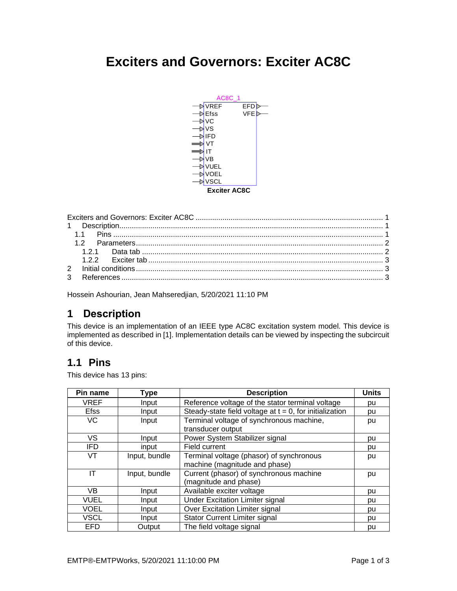# <span id="page-0-0"></span>**Exciters and Governors: Exciter AC8C**



<span id="page-0-1"></span>Hossein Ashourian, Jean Mahseredjian, 5/20/2021 11:10 PM

## **1 Description**

This device is an implementation of an IEEE type AC8C excitation system model. This device is implemented as described i[n \[1\].](#page-2-3) Implementation details can be viewed by inspecting the subcircuit of this device.

## <span id="page-0-2"></span>**1.1 Pins**

This device has 13 pins:

| Pin name    | Type          | <b>Description</b>                                         | <b>Units</b> |
|-------------|---------------|------------------------------------------------------------|--------------|
| <b>VREF</b> | Input         | Reference voltage of the stator terminal voltage           | pu           |
| <b>Efss</b> | Input         | Steady-state field voltage at $t = 0$ , for initialization | pu           |
| VC          | Input         | Terminal voltage of synchronous machine,                   | pu           |
|             |               | transducer output                                          |              |
| VS          | Input         | Power System Stabilizer signal                             | pu           |
| <b>IFD</b>  | input         | Field current                                              | pu           |
| VT          | Input, bundle | Terminal voltage (phasor) of synchronous                   | pu           |
|             |               | machine (magnitude and phase)                              |              |
| ΙT          | Input, bundle | Current (phasor) of synchronous machine                    | pu           |
|             |               | (magnitude and phase)                                      |              |
| VB          | Input         | Available exciter voltage                                  | pu           |
| <b>VUEL</b> | Input         | <b>Under Excitation Limiter signal</b>                     | pu           |
| <b>VOEL</b> | Input         | Over Excitation Limiter signal                             | pu           |
| <b>VSCL</b> | Input         | <b>Stator Current Limiter signal</b>                       | pu           |
| EFD         | Output        | The field voltage signal                                   | pu           |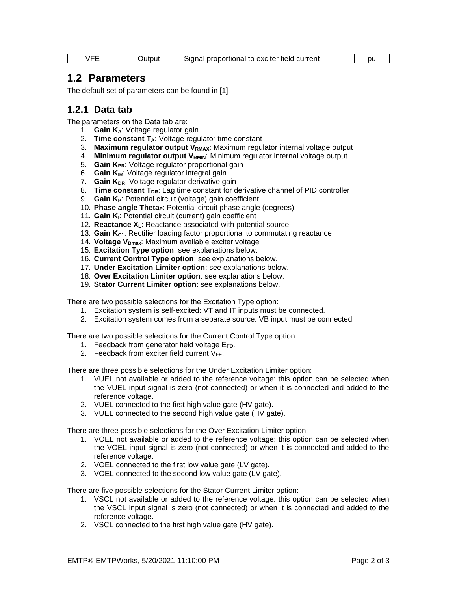<span id="page-1-0"></span>

| <b>/EE</b> | JUTOU†<br>.<br>۱۳.<br>iidu<br>ю<br>. | exciter field<br>current<br>oroportional<br>tΩ | ור |  |
|------------|--------------------------------------|------------------------------------------------|----|--|
|------------|--------------------------------------|------------------------------------------------|----|--|

#### **1.2 Parameters**

<span id="page-1-1"></span>The default set of parameters can be found in [\[1\].](#page-2-3)

#### **1.2.1 Data tab**

The parameters on the Data tab are:

- 1. **Gain KA**: Voltage regulator gain
- 2. **Time constant TA**: Voltage regulator time constant
- 3. **Maximum regulator output VRMAX**: Maximum regulator internal voltage output
- 4. Minimum regulator output V<sub>RMIN</sub>: Minimum regulator internal voltage output
- 5. **Gain KPR**: Voltage regulator proportional gain
- 6. **Gain KIR**: Voltage regulator integral gain
- 7. **Gain KDR**: Voltage regulator derivative gain
- 8. **Time constant T**<sub>DR</sub>: Lag time constant for derivative channel of PID controller
- 9. **Gain KP**: Potential circuit (voltage) gain coefficient
- 10. **Phase angle ThetaP**: Potential circuit phase angle (degrees)
- 11. **Gain KI**: Potential circuit (current) gain coefficient
- 12. **Reactance XL**: Reactance associated with potential source
- 13. **Gain KC1**: Rectifier loading factor proportional to commutating reactance
- 14. **Voltage VBmax**: Maximum available exciter voltage
- 15. **Excitation Type option**: see explanations below.
- 16. **Current Control Type option**: see explanations below.
- 17. **Under Excitation Limiter option**: see explanations below.
- 18. **Over Excitation Limiter option**: see explanations below.
- 19. **Stator Current Limiter option**: see explanations below.

There are two possible selections for the Excitation Type option:

- 1. Excitation system is self-excited: VT and IT inputs must be connected.
- 2. Excitation system comes from a separate source: VB input must be connected

There are two possible selections for the Current Control Type option:

- 1. Feedback from generator field voltage EFD.
- 2. Feedback from exciter field current  $V_{FE}$ .

There are three possible selections for the Under Excitation Limiter option:

- 1. VUEL not available or added to the reference voltage: this option can be selected when the VUEL input signal is zero (not connected) or when it is connected and added to the reference voltage.
- 2. VUEL connected to the first high value gate (HV gate).
- 3. VUEL connected to the second high value gate (HV gate).

There are three possible selections for the Over Excitation Limiter option:

- 1. VOEL not available or added to the reference voltage: this option can be selected when the VOEL input signal is zero (not connected) or when it is connected and added to the reference voltage.
- 2. VOEL connected to the first low value gate (LV gate).
- 3. VOEL connected to the second low value gate (LV gate).

There are five possible selections for the Stator Current Limiter option:

- 1. VSCL not available or added to the reference voltage: this option can be selected when the VSCL input signal is zero (not connected) or when it is connected and added to the reference voltage.
- 2. VSCL connected to the first high value gate (HV gate).